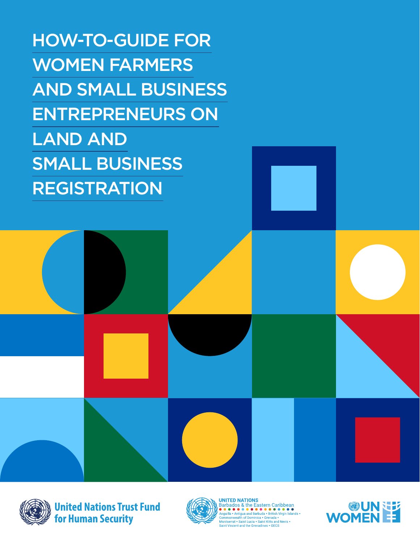HOW-TO-GUIDE FOR WOMEN FARMERS AND SMALL BUSINESS ENTREPRENEURS ON LAND AND SMALL BUSINESS REGISTRATION





**United Nations Trust Fund for Human Security** 



**UNITED NATIONS UNITED IN NATIONS CONTRACT CATA CONTRACT CONTRACT CONTRACT AND AN ALGORATION CONTRACT CONTRACT CONTRACT CONTRACT CONTRACT CONTRACT CONTRACT CONTRACT CONTRACT CONTRACT CONTRACT CONTRACT CONTRACT CONTRACT CONTRACT CONTRACT** 

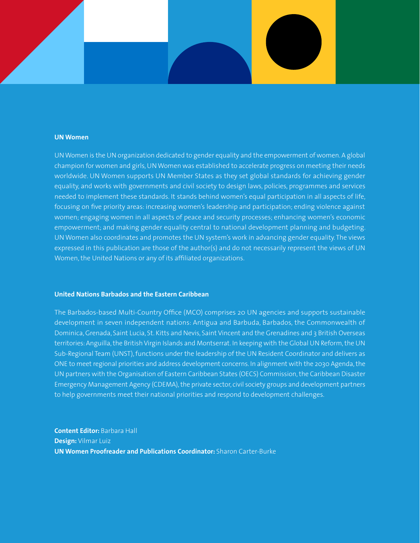#### **UN Women**

UN Women is the UN organization dedicated to gender equality and the empowerment of women. A global champion for women and girls, UN Women was established to accelerate progress on meeting their needs worldwide. UN Women supports UN Member States as they set global standards for achieving gender equality, and works with governments and civil society to design laws, policies, programmes and services needed to implement these standards. It stands behind women's equal participation in all aspects of life, focusing on five priority areas: increasing women's leadership and participation; ending violence against women; engaging women in all aspects of peace and security processes; enhancing women's economic empowerment; and making gender equality central to national development planning and budgeting. UN Women also coordinates and promotes the UN system's work in advancing gender equality. The views expressed in this publication are those of the author(s) and do not necessarily represent the views of UN Women, the United Nations or any of its affiliated organizations.

#### **United Nations Barbados and the Eastern Caribbean**

The Barbados-based Multi-Country Office (MCO) comprises 20 UN agencies and supports sustainable development in seven independent nations: Antigua and Barbuda, Barbados, the Commonwealth of Dominica, Grenada, Saint Lucia, St. Kitts and Nevis, Saint Vincent and the Grenadines and 3 British Overseas territories: Anguilla, the British Virgin Islands and Montserrat. In keeping with the Global UN Reform, the UN Sub-Regional Team (UNST), functions under the leadership of the UN Resident Coordinator and delivers as ONE to meet regional priorities and address development concerns. In alignment with the 2030 Agenda, the UN partners with the Organisation of Eastern Caribbean States (OECS) Commission, the Caribbean Disaster Emergency Management Agency (CDEMA), the private sector, civil society groups and development partners to help governments meet their national priorities and respond to development challenges.

**Content Editor:** Barbara Hall **Design:** Vilmar Luiz **UN Women Proofreader and Publications Coordinator:** Sharon Carter-Burke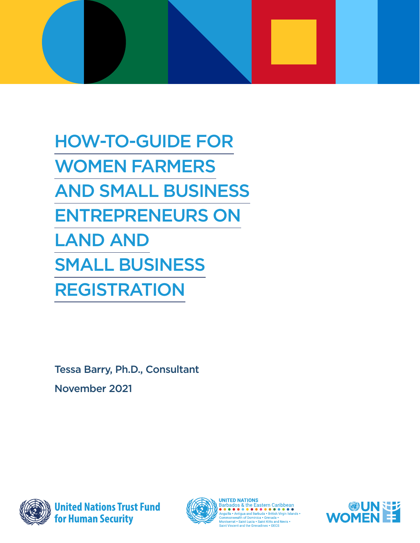

HOW-TO-GUIDE FOR WOMEN FARMERS AND SMALL BUSINESS ENTREPRENEURS ON LAND AND SMALL BUSINESS REGISTRATION

Tessa Barry, Ph.D., Consultant November 2021



**United Nations Trust Fund** for Human Security



**UNITED NATIONS UNITED MATIONS CONTRACTED CONTRACT CONTRACT CONTRACT AND ANGULAR COMMUNITED CONTRACT COMMUNITED CONTRACT CONTRACT CONTRACT SCALE OF SCALE CONTRACT CONTRACT CONTRACT CONTRACT CONTRACT CONTRACT CONTRACT CONTRACT CONTRACT CO** 

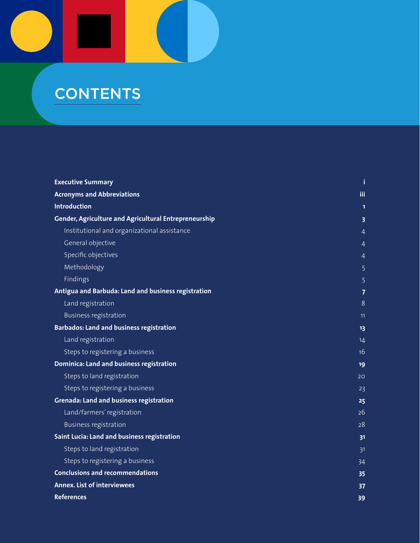## **CONTENTS**

| <b>Executive Summary</b>                              | Ť              |
|-------------------------------------------------------|----------------|
| <b>Acronyms and Abbreviations</b>                     | <b>iii</b>     |
| <b>Introduction</b>                                   | 1              |
| Gender, Agriculture and Agricultural Entrepreneurship | 3              |
| Institutional and organizational assistance           | $\overline{4}$ |
| General objective                                     | 4              |
| Specific objectives                                   | $\overline{4}$ |
| Methodology                                           | 5              |
| Findings                                              | 5              |
| Antigua and Barbuda: Land and business registration   | $\overline{7}$ |
| Land registration                                     | 8              |
| <b>Business registration</b>                          | 11             |
| <b>Barbados: Land and business registration</b>       | 13             |
| Land registration                                     | 14             |
| Steps to registering a business                       | 16             |
| Dominica: Land and business registration              | 19             |
| Steps to land registration                            | 20             |
| Steps to registering a business                       | 23             |
| <b>Grenada: Land and business registration</b>        | 25             |
| Land/farmers' registration                            | 26             |
| <b>Business registration</b>                          | 28             |
| Saint Lucia: Land and business registration           | 31             |
| Steps to land registration                            | 31             |
| Steps to registering a business                       | 34             |
| <b>Conclusions and recommendations</b>                | 35             |
| <b>Annex. List of interviewees</b>                    | 37             |
| <b>References</b>                                     | 39             |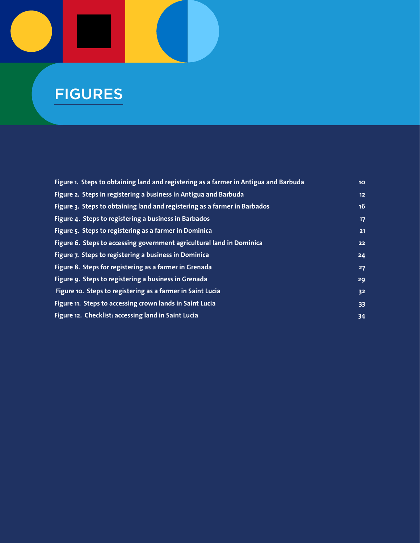## FIGURES

| Figure 1. Steps to obtaining land and registering as a farmer in Antigua and Barbuda | 10 <sub>o</sub> |
|--------------------------------------------------------------------------------------|-----------------|
| Figure 2. Steps in registering a business in Antigua and Barbuda                     | 12              |
| Figure 3. Steps to obtaining land and registering as a farmer in Barbados            | 16              |
| Figure 4. Steps to registering a business in Barbados                                | 17              |
| Figure 5. Steps to registering as a farmer in Dominica                               | 21              |
| Figure 6. Steps to accessing government agricultural land in Dominica                | 22              |
| Figure 7. Steps to registering a business in Dominica                                | 24              |
| Figure 8. Steps for registering as a farmer in Grenada                               | 27              |
| Figure 9. Steps to registering a business in Grenada                                 | 29              |
| Figure 10. Steps to registering as a farmer in Saint Lucia                           | 32              |
| Figure 11. Steps to accessing crown lands in Saint Lucia                             | 33              |
| Figure 12. Checklist: accessing land in Saint Lucia                                  | 34              |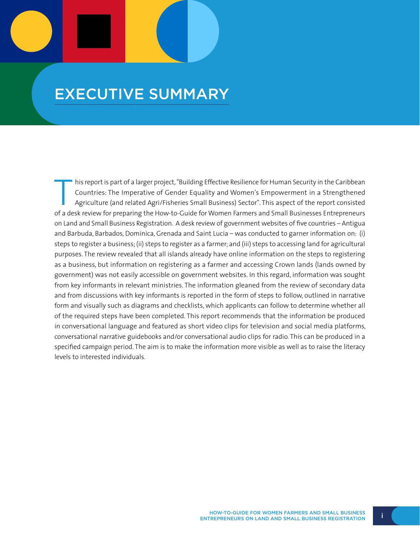## <span id="page-6-0"></span>EXECUTIVE SUMMARY

his report is part of a larger project, "Building Effective Resilience for Human Security in the Caribbean<br>Countries: The Imperative of Gender Equality and Women's Empowerment in a Strengthened<br>Agriculture (and related Agr Countries: The Imperative of Gender Equality and Women's Empowerment in a Strengthened Agriculture (and related Agri/Fisheries Small Business) Sector". This aspect of the report consisted of a desk review for preparing the How-to-Guide for Women Farmers and Small Businesses Entrepreneurs on Land and Small Business Registration. A desk review of government websites of five countries – Antigua and Barbuda, Barbados, Dominica, Grenada and Saint Lucia – was conducted to garner information on: (i) steps to register a business; (ii) steps to register as a farmer; and (iii) steps to accessing land for agricultural purposes. The review revealed that all islands already have online information on the steps to registering as a business, but information on registering as a farmer and accessing Crown lands (lands owned by government) was not easily accessible on government websites. In this regard, information was sought from key informants in relevant ministries. The information gleaned from the review of secondary data and from discussions with key informants is reported in the form of steps to follow, outlined in narrative form and visually such as diagrams and checklists, which applicants can follow to determine whether all of the required steps have been completed. This report recommends that the information be produced in conversational language and featured as short video clips for television and social media platforms, conversational narrative guidebooks and/or conversational audio clips for radio. This can be produced in a specified campaign period. The aim is to make the information more visible as well as to raise the literacy levels to interested individuals.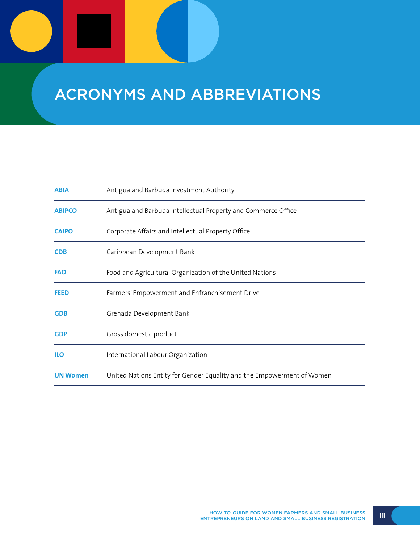## <span id="page-8-0"></span>ACRONYMS AND ABBREVIATIONS

| <b>ABIA</b>     | Antigua and Barbuda Investment Authority                               |
|-----------------|------------------------------------------------------------------------|
| <b>ABIPCO</b>   | Antigua and Barbuda Intellectual Property and Commerce Office          |
| <b>CAIPO</b>    | Corporate Affairs and Intellectual Property Office                     |
| <b>CDB</b>      | Caribbean Development Bank                                             |
| <b>FAO</b>      | Food and Agricultural Organization of the United Nations               |
| <b>FEED</b>     | Farmers' Empowerment and Enfranchisement Drive                         |
| <b>GDB</b>      | Grenada Development Bank                                               |
| <b>GDP</b>      | Gross domestic product                                                 |
| <b>ILO</b>      | International Labour Organization                                      |
| <b>UN Women</b> | United Nations Entity for Gender Equality and the Empowerment of Women |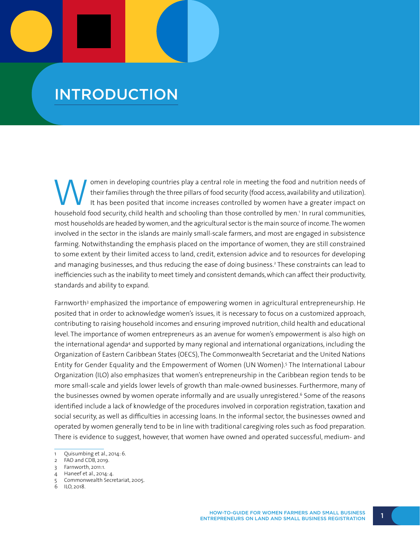## <span id="page-10-0"></span>INTRODUCTION

Omen in developing countries play a central role in meeting the food and nutrition needs of<br>their families through the three pillars of food security (food access, availability and utilization).<br>It has been posited that in their families through the three pillars of food security (food access, availability and utilization). It has been posited that income increases controlled by women have a greater impact on household food security, child health and schooling than those controlled by men.1 In rural communities, most households are headed by women, and the agricultural sector is the main source of income. The women involved in the sector in the islands are mainly small-scale farmers, and most are engaged in subsistence farming. Notwithstanding the emphasis placed on the importance of women, they are still constrained to some extent by their limited access to land, credit, extension advice and to resources for developing and managing businesses, and thus reducing the ease of doing business.2 These constraints can lead to inefficiencies such as the inability to meet timely and consistent demands, which can affect their productivity, standards and ability to expand.

Farnworth<sup>3</sup> emphasized the importance of empowering women in agricultural entrepreneurship. He posited that in order to acknowledge women's issues, it is necessary to focus on a customized approach, contributing to raising household incomes and ensuring improved nutrition, child health and educational level. The importance of women entrepreneurs as an avenue for women's empowerment is also high on the international agenda4 and supported by many regional and international organizations, including the Organization of Eastern Caribbean States (OECS), The Commonwealth Secretariat and the United Nations Entity for Gender Equality and the Empowerment of Women (UN Women).5 The International Labour Organization (ILO) also emphasizes that women's entrepreneurship in the Caribbean region tends to be more small-scale and yields lower levels of growth than male-owned businesses. Furthermore, many of the businesses owned by women operate informally and are usually unregistered.<sup>6</sup> Some of the reasons identified include a lack of knowledge of the procedures involved in corporation registration, taxation and social security, as well as difficulties in accessing loans. In the informal sector, the businesses owned and operated by women generally tend to be in line with traditional caregiving roles such as food preparation. There is evidence to suggest, however, that women have owned and operated successful, medium- and

<sup>1</sup> Quisumbing et al., 2014: 6.

<sup>2</sup> FAO and CDB, 2019.

<sup>3</sup> Farnworth, 2011:1.

<sup>4</sup> Haneef et al., 2014: 4.

<sup>5</sup> Commonwealth Secretariat, 2005.

<sup>6</sup> ILO, 2018.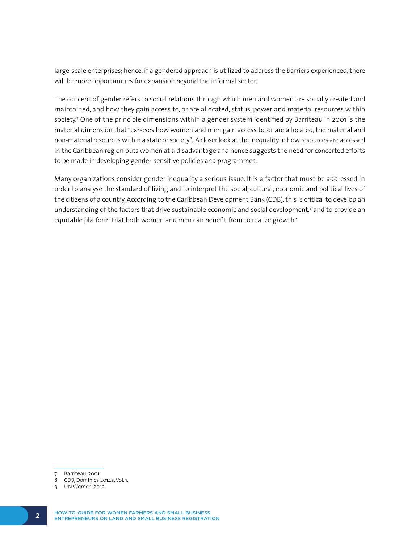large-scale enterprises; hence, if a gendered approach is utilized to address the barriers experienced, there will be more opportunities for expansion beyond the informal sector.

The concept of gender refers to social relations through which men and women are socially created and maintained, and how they gain access to, or are allocated, status, power and material resources within society.7 One of the principle dimensions within a gender system identified by Barriteau in 2001 is the material dimension that "exposes how women and men gain access to, or are allocated, the material and non-material resources within a state or society". A closer look at the inequality in how resources are accessed in the Caribbean region puts women at a disadvantage and hence suggests the need for concerted efforts to be made in developing gender-sensitive policies and programmes.

Many organizations consider gender inequality a serious issue. It is a factor that must be addressed in order to analyse the standard of living and to interpret the social, cultural, economic and political lives of the citizens of a country. According to the Caribbean Development Bank (CDB), this is critical to develop an understanding of the factors that drive sustainable economic and social development, $\frac{s}{s}$  and to provide an equitable platform that both women and men can benefit from to realize growth.<sup>9</sup>

Barriteau, 2001.

<sup>8</sup> CDB, Dominica 2014a, Vol. 1.

<sup>9</sup> UN Women, 2019.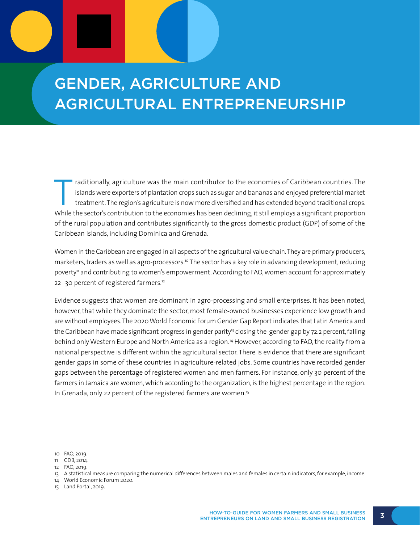## <span id="page-12-0"></span>GENDER, AGRICULTURE AND AGRICULTURAL ENTREPRENEURSHIP

raditionally, agriculture was the main contributor to the economies of Caribbean countries. The<br>islands were exporters of plantation crops such as sugar and bananas and enjoyed preferential market<br>treatment. The region's a islands were exporters of plantation crops such as sugar and bananas and enjoyed preferential market treatment. The region's agriculture is now more diversified and has extended beyond traditional crops. While the sector's contribution to the economies has been declining, it still employs a significant proportion of the rural population and contributes significantly to the gross domestic product (GDP) of some of the Caribbean islands, including Dominica and Grenada.

Women in the Caribbean are engaged in all aspects of the agricultural value chain. They are primary producers, marketers, traders as well as agro-processors.<sup>10</sup> The sector has a key role in advancing development, reducing poverty<sup>n</sup> and contributing to women's empowerment. According to FAO, women account for approximately 22-30 percent of registered farmers.<sup>12</sup>

Evidence suggests that women are dominant in agro-processing and small enterprises. It has been noted, however, that while they dominate the sector, most female-owned businesses experience low growth and are without employees. The 2020 World Economic Forum Gender Gap Report indicates that Latin America and the Caribbean have made significant progress in gender parity<sup>3</sup> closing the gender gap by 72.2 percent, falling behind only Western Europe and North America as a region.<sup>14</sup> However, according to FAO, the reality from a national perspective is different within the agricultural sector. There is evidence that there are significant gender gaps in some of these countries in agriculture-related jobs. Some countries have recorded gender gaps between the percentage of registered women and men farmers. For instance, only 30 percent of the farmers in Jamaica are women, which according to the organization, is the highest percentage in the region. In Grenada, only 22 percent of the registered farmers are women.15

<sup>10</sup> FAO, 2019.

<sup>11</sup> CDB, 2014.

<sup>12</sup> FAO, 2019.

<sup>13</sup> A statistical measure comparing the numerical differences between males and females in certain indicators, for example, income.

<sup>14</sup> World Economic Forum 2020.

<sup>15</sup> Land Portal, 2019.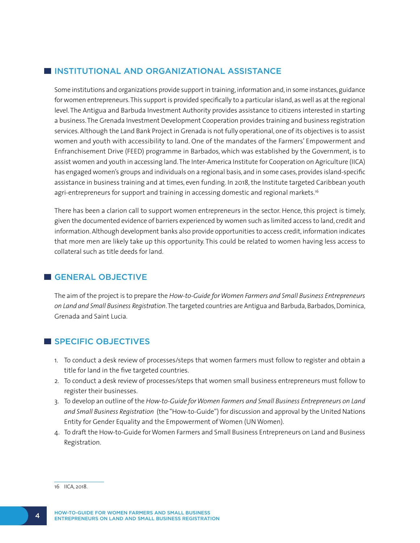### <span id="page-13-0"></span>**INSTITUTIONAL AND ORGANIZATIONAL ASSISTANCE**

Some institutions and organizations provide support in training, information and, in some instances, guidance for women entrepreneurs. This support is provided specifically to a particular island, as well as at the regional level. The Antigua and Barbuda Investment Authority provides assistance to citizens interested in starting a business. The Grenada Investment Development Cooperation provides training and business registration services. Although the Land Bank Project in Grenada is not fully operational, one of its objectives is to assist women and youth with accessibility to land. One of the mandates of the Farmers' Empowerment and Enfranchisement Drive (FEED) programme in Barbados, which was established by the Government, is to assist women and youth in accessing land. The Inter-America Institute for Cooperation on Agriculture (IICA) has engaged women's groups and individuals on a regional basis, and in some cases, provides island-specific assistance in business training and at times, even funding. In 2018, the Institute targeted Caribbean youth agri-entrepreneurs for support and training in accessing domestic and regional markets.<sup>16</sup>

There has been a clarion call to support women entrepreneurs in the sector. Hence, this project is timely, given the documented evidence of barriers experienced by women such as limited access to land, credit and information. Although development banks also provide opportunities to access credit, information indicates that more men are likely take up this opportunity. This could be related to women having less access to collateral such as title deeds for land.

### GENERAL OBJECTIVE

The aim of the project is to prepare the *How-to-Guide for Women Farmers and Small Business Entrepreneurs on Land and Small Business Registration*. The targeted countries are Antigua and Barbuda, Barbados, Dominica, Grenada and Saint Lucia.

### SPECIFIC OBJECTIVES

- 1. To conduct a desk review of processes/steps that women farmers must follow to register and obtain a title for land in the five targeted countries.
- 2. To conduct a desk review of processes/steps that women small business entrepreneurs must follow to register their businesses.
- 3. To develop an outline of the *How-to-Guide for Women Farmers and Small Business Entrepreneurs on Land and Small Business Registration* (the "How-to-Guide") for discussion and approval by the United Nations Entity for Gender Equality and the Empowerment of Women (UN Women).
- 4. To draft the How-to-Guide for Women Farmers and Small Business Entrepreneurs on Land and Business Registration.

<sup>16</sup> IICA, 2018.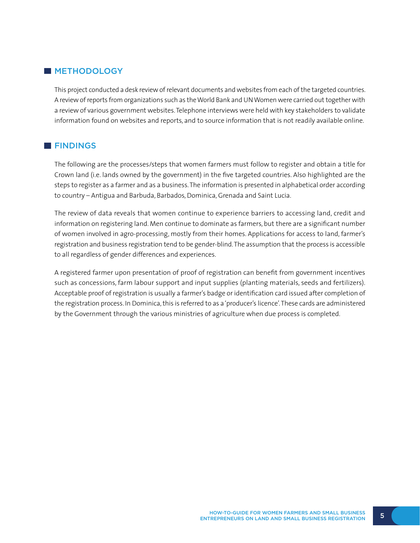### <span id="page-14-0"></span>**METHODOLOGY**

This project conducted a desk review of relevant documents and websites from each of the targeted countries. A review of reports from organizations such as the World Bank and UN Women were carried out together with a review of various government websites. Telephone interviews were held with key stakeholders to validate information found on websites and reports, and to source information that is not readily available online.

### **FINDINGS**

The following are the processes/steps that women farmers must follow to register and obtain a title for Crown land (i.e. lands owned by the government) in the five targeted countries. Also highlighted are the steps to register as a farmer and as a business. The information is presented in alphabetical order according to country – Antigua and Barbuda, Barbados, Dominica, Grenada and Saint Lucia.

The review of data reveals that women continue to experience barriers to accessing land, credit and information on registering land. Men continue to dominate as farmers, but there are a significant number of women involved in agro-processing, mostly from their homes. Applications for access to land, farmer's registration and business registration tend to be gender-blind. The assumption that the process is accessible to all regardless of gender differences and experiences.

A registered farmer upon presentation of proof of registration can benefit from government incentives such as concessions, farm labour support and input supplies (planting materials, seeds and fertilizers). Acceptable proof of registration is usually a farmer's badge or identification card issued after completion of the registration process. In Dominica, this is referred to as a 'producer's licence'. These cards are administered by the Government through the various ministries of agriculture when due process is completed.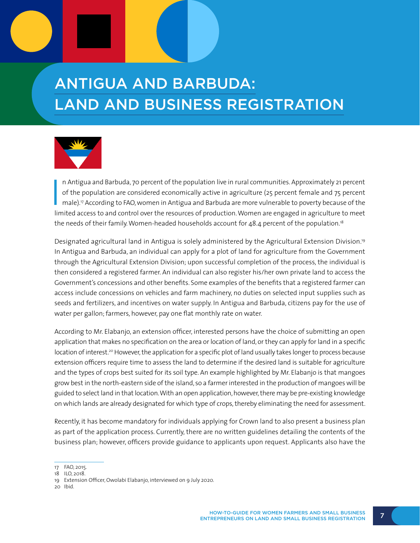## <span id="page-16-0"></span>ANTIGUA AND BARBUDA: LAND AND BUSINESS REGISTRATION



In Antigua and Barbuda, 70 percent of the population live in rural communities. Approximately 21 percent of the population are considered economically active in agriculture (25 percent female and 75 percent male).<sup>17</sup> Acco n Antigua and Barbuda, 70 percent of the population live in rural communities. Approximately 21 percent of the population are considered economically active in agriculture (25 percent female and 75 percent male).17 According to FAO, women in Antigua and Barbuda are more vulnerable to poverty because of the the needs of their family. Women-headed households account for  $48.4$  percent of the population.<sup>18</sup>

Designated agricultural land in Antigua is solely administered by the Agricultural Extension Division.<sup>19</sup> In Antigua and Barbuda, an individual can apply for a plot of land for agriculture from the Government through the Agricultural Extension Division; upon successful completion of the process, the individual is then considered a registered farmer. An individual can also register his/her own private land to access the Government's concessions and other benefits. Some examples of the benefits that a registered farmer can access include concessions on vehicles and farm machinery, no duties on selected input supplies such as seeds and fertilizers, and incentives on water supply. In Antigua and Barbuda, citizens pay for the use of water per gallon; farmers, however, pay one flat monthly rate on water.

According to Mr. Elabanjo, an extension officer, interested persons have the choice of submitting an open application that makes no specification on the area or location of land, or they can apply for land in a specific location of interest.<sup>20</sup> However, the application for a specific plot of land usually takes longer to process because extension officers require time to assess the land to determine if the desired land is suitable for agriculture and the types of crops best suited for its soil type. An example highlighted by Mr. Elabanjo is that mangoes grow best in the north-eastern side of the island, so a farmer interested in the production of mangoes will be guided to select land in that location. With an open application, however, there may be pre-existing knowledge on which lands are already designated for which type of crops, thereby eliminating the need for assessment.

Recently, it has become mandatory for individuals applying for Crown land to also present a business plan as part of the application process. Currently, there are no written guidelines detailing the contents of the business plan; however, officers provide guidance to applicants upon request. Applicants also have the

<sup>17</sup> FAO, 2015.

<sup>18</sup> ILO, 2018.

<sup>19</sup> Extension Officer, Owolabi Elabanjo, interviewed on 9 July 2020.

<sup>20</sup> Ibid.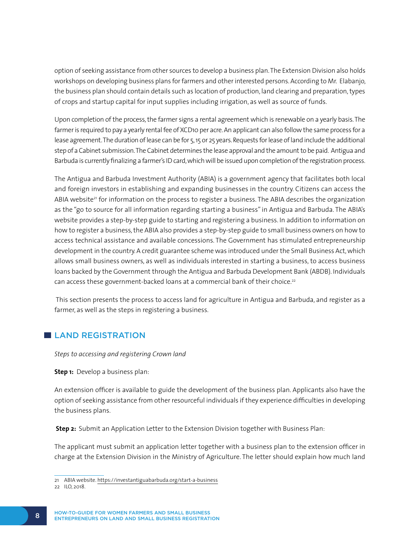<span id="page-17-0"></span>option of seeking assistance from other sources to develop a business plan. The Extension Division also holds workshops on developing business plans for farmers and other interested persons. According to Mr. Elabanjo, the business plan should contain details such as location of production, land clearing and preparation, types of crops and startup capital for input supplies including irrigation, as well as source of funds.

Upon completion of the process, the farmer signs a rental agreement which is renewable on a yearly basis. The farmer is required to pay a yearly rental fee of XCD10 per acre. An applicant can also follow the same process for a lease agreement. The duration of lease can be for 5, 15 or 25 years. Requests for lease of land include the additional step of a Cabinet submission. The Cabinet determines the lease approval and the amount to be paid. Antigua and Barbuda is currently finalizing a farmer's ID card, which will be issued upon completion of the registration process.

The Antigua and Barbuda Investment Authority (ABIA) is a government agency that facilitates both local and foreign investors in establishing and expanding businesses in the country. Citizens can access the ABIA website<sup>21</sup> for information on the process to register a business. The ABIA describes the organization as the "go to source for all information regarding starting a business" in Antigua and Barbuda. The ABIA's website provides a step-by-step guide to starting and registering a business. In addition to information on how to register a business, the ABIA also provides a step-by-step guide to small business owners on how to access technical assistance and available concessions. The Government has stimulated entrepreneurship development in the country. A credit guarantee scheme was introduced under the Small Business Act, which allows small business owners, as well as individuals interested in starting a business, to access business loans backed by the Government through the Antigua and Barbuda Development Bank (ABDB). Individuals can access these government-backed loans at a commercial bank of their choice.<sup>22</sup>

 This section presents the process to access land for agriculture in Antigua and Barbuda, and register as a farmer, as well as the steps in registering a business.

### **LAND REGISTRATION**

*Steps to accessing and registering Crown land* 

**Step 1:** Develop a business plan:

An extension officer is available to guide the development of the business plan. Applicants also have the option of seeking assistance from other resourceful individuals if they experience difficulties in developing the business plans.

 **Step 2:** Submit an Application Letter to the Extension Division together with Business Plan:

The applicant must submit an application letter together with a business plan to the extension officer in charge at the Extension Division in the Ministry of Agriculture. The letter should explain how much land

<sup>21</sup> ABIA website. [https://investantiguabarbuda.org/start-a-business](https://investantiguabarbuda.org/start-a-business/)

<sup>22</sup> ILO, 2018.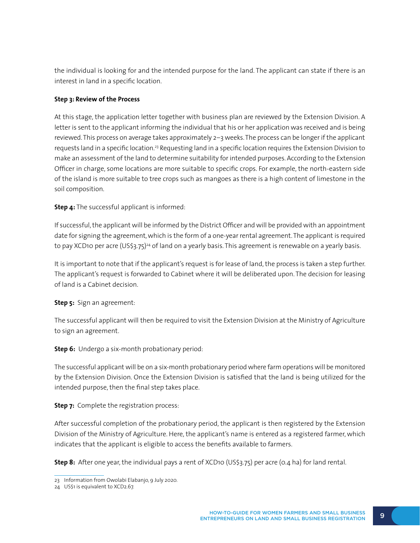the individual is looking for and the intended purpose for the land. The applicant can state if there is an interest in land in a specific location.

### **Step 3: Review of the Process**

At this stage, the application letter together with business plan are reviewed by the Extension Division. A letter is sent to the applicant informing the individual that his or her application was received and is being reviewed. This process on average takes approximately 2–3 weeks. The process can be longer if the applicant requests land in a specific location.23 Requesting land in a specific location requires the Extension Division to make an assessment of the land to determine suitability for intended purposes. According to the Extension Officer in charge, some locations are more suitable to specific crops. For example, the north-eastern side of the island is more suitable to tree crops such as mangoes as there is a high content of limestone in the soil composition.

### **Step 4:** The successful applicant is informed:

If successful, the applicant will be informed by the District Officer and will be provided with an appointment date for signing the agreement, which is the form of a one-year rental agreement. The applicant is required to pay XCD10 per acre (US\$3.75)<sup>24</sup> of land on a yearly basis. This agreement is renewable on a yearly basis.

It is important to note that if the applicant's request is for lease of land, the process is taken a step further. The applicant's request is forwarded to Cabinet where it will be deliberated upon. The decision for leasing of land is a Cabinet decision.

### **Step 5:** Sign an agreement:

The successful applicant will then be required to visit the Extension Division at the Ministry of Agriculture to sign an agreement.

**Step 6:** Undergo a six-month probationary period:

The successful applicant will be on a six-month probationary period where farm operations will be monitored by the Extension Division. Once the Extension Division is satisfied that the land is being utilized for the intended purpose, then the final step takes place.

### **Step 7:** Complete the registration process:

After successful completion of the probationary period, the applicant is then registered by the Extension Division of the Ministry of Agriculture. Here, the applicant's name is entered as a registered farmer, which indicates that the applicant is eligible to access the benefits available to farmers.

**Step 8:** After one year, the individual pays a rent of XCD10 (US\$3.75) per acre (0.4 ha) for land rental.

<sup>23</sup> Information from Owolabi Elabanjo, 9 July 2020.

<sup>24</sup> US\$1 is equivalent to XCD2.67.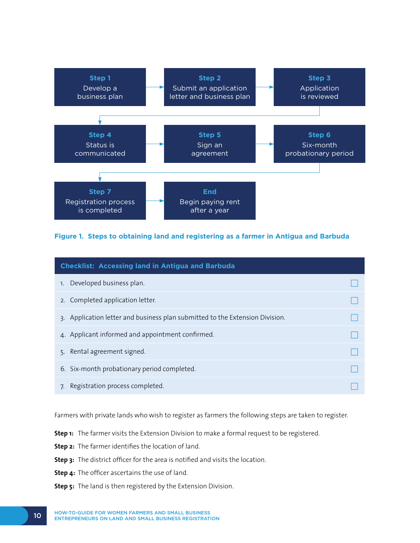<span id="page-19-0"></span>

#### **Figure 1. Steps to obtaining land and registering as a farmer in Antigua and Barbuda**

| <b>Checklist: Accessing land in Antigua and Barbuda</b>                      |  |
|------------------------------------------------------------------------------|--|
| Developed business plan.<br>1.                                               |  |
| 2. Completed application letter.                                             |  |
| 3. Application letter and business plan submitted to the Extension Division. |  |
| 4. Applicant informed and appointment confirmed.                             |  |
| Rental agreement signed.<br>5.                                               |  |
| 6. Six-month probationary period completed.                                  |  |
| Registration process completed.                                              |  |

Farmers with private lands who wish to register as farmers the following steps are taken to register.

**Step 1:** The farmer visits the Extension Division to make a formal request to be registered.

**Step 2:** The farmer identifies the location of land.

**Step 3:** The district officer for the area is notified and visits the location.

**Step 4:** The officer ascertains the use of land.

**Step 5:** The land is then registered by the Extension Division.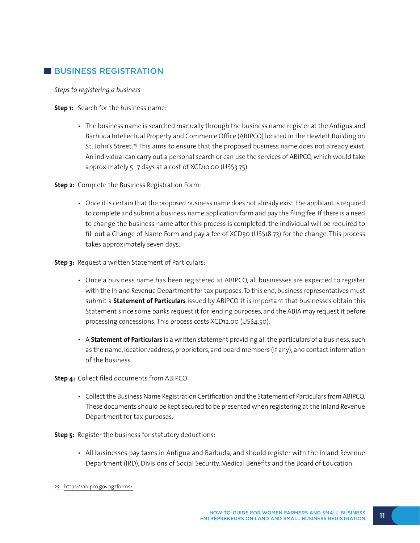## <span id="page-20-0"></span>**BUSINESS REGISTRATION**

*Steps to registering a business* 

**Step 1:** Search for the business name:

• The business name is searched manually through the business name register at the Antigua and Barbuda Intellectual Property and Commerce Office (ABIPCO) located in the Hewlett Building on St. John's Street.<sup>25</sup> This aims to ensure that the proposed business name does not already exist. An individual can carry out a personal search or can use the services of ABIPCO, which would take approximately 5–7 days at a cost of XCD10.00 (US\$3.75).

**Step 2:** Complete the Business Registration Form:

• Once it is certain that the proposed business name does not already exist, the applicant is required to complete and submit a business name application form and pay the filing fee. If there is a need to change the business name after this process is completed, the individual will be required to fill out a Change of Name Form and pay a fee of XCD50 (US\$18.73) for the change. This process takes approximately seven days.

**Step 3:** Request a written Statement of Particulars:

- Once a business name has been registered at ABIPCO, all businesses are expected to register with the Inland Revenue Department for tax purposes. To this end, business representatives must submit a **Statement of Particulars** issued by ABIPCO. It is important that businesses obtain this Statement since some banks request it for lending purposes, and the ABIA may request it before processing concessions. This process costs XCD12.00 (US\$4.50).
- A **Statement of Particulars** is a written statement providing all the particulars of a business, such as the name, location/address, proprietors, and board members (if any), and contact information of the business.

**Step 4:** Collect filed documents from ABIPCO:

• Collect the Business Name Registration Certification and the Statement of Particulars from ABIPCO. These documents should be kept secured to be presented when registering at the Inland Revenue Department for tax purposes.

**Step 5:** Register the business for statutory deductions:

• All businesses pay taxes in Antigua and Barbuda, and should register with the Inland Revenue Department (IRD), Divisions of Social Security, Medical Benefits and the Board of Education.

<sup>25</sup> <https://abipco.gov.ag/forms/>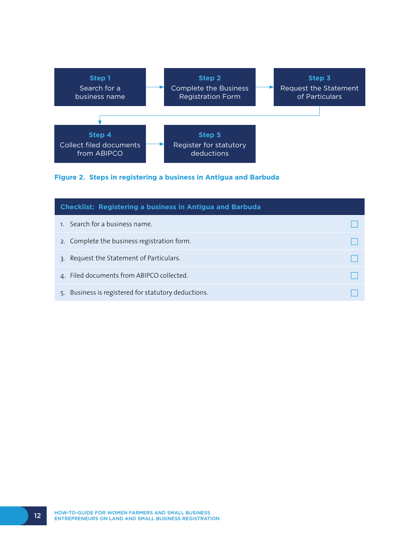<span id="page-21-0"></span>

#### **Figure 2. Steps in registering a business in Antigua and Barbuda**

| <b>Checklist: Registering a business in Antigua and Barbuda</b> |  |
|-----------------------------------------------------------------|--|
| Search for a business name.<br>1                                |  |
| 2. Complete the business registration form.                     |  |
| Request the Statement of Particulars.<br>3.                     |  |
| 4. Filed documents from ABIPCO collected.                       |  |
| Business is registered for statutory deductions.<br>5.          |  |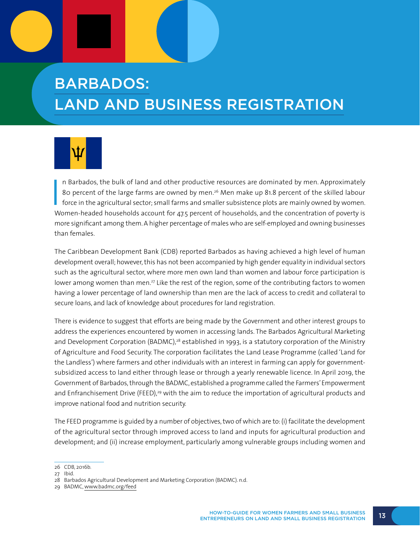## <span id="page-22-0"></span>BARBADOS: LAND AND BUSINESS REGISTRATION



In Barbados, the bulk of land and other productive resources are dominated by men. Approximately<br>
80 percent of the large farms are owned by men.<sup>26</sup> Men make up 81.8 percent of the skilled labour<br>
force in the agricultura n Barbados, the bulk of land and other productive resources are dominated by men. Approximately 80 percent of the large farms are owned by men.<sup>26</sup> Men make up 81.8 percent of the skilled labour force in the agricultural sector; small farms and smaller subsistence plots are mainly owned by women. more significant among them. A higher percentage of males who are self-employed and owning businesses than females.

The Caribbean Development Bank (CDB) reported Barbados as having achieved a high level of human development overall; however, this has not been accompanied by high gender equality in individual sectors such as the agricultural sector, where more men own land than women and labour force participation is lower among women than men.<sup>27</sup> Like the rest of the region, some of the contributing factors to women having a lower percentage of land ownership than men are the lack of access to credit and collateral to secure loans, and lack of knowledge about procedures for land registration.

There is evidence to suggest that efforts are being made by the Government and other interest groups to address the experiences encountered by women in accessing lands. The Barbados Agricultural Marketing and Development Corporation (BADMC),<sup>28</sup> established in 1993, is a statutory corporation of the Ministry of Agriculture and Food Security. The corporation facilitates the Land Lease Programme (called 'Land for the Landless') where farmers and other individuals with an interest in farming can apply for governmentsubsidized access to land either through lease or through a yearly renewable licence. In April 2019, the Government of Barbados, through the BADMC, established a programme called the Farmers' Empowerment and Enfranchisement Drive (FEED),<sup>29</sup> with the aim to reduce the importation of agricultural products and improve national food and nutrition security.

The FEED programme is guided by a number of objectives, two of which are to: (i) facilitate the development of the agricultural sector through improved access to land and inputs for agricultural production and development; and (ii) increase employment, particularly among vulnerable groups including women and

<sup>26</sup> CDB, 2016b.

<sup>27</sup> Ibid.

<sup>28</sup> Barbados Agricultural Development and Marketing Corporation (BADMC). n.d.

<sup>29</sup> BADMC, [www.badmc.org/feed](http://www.badmc.org/feed)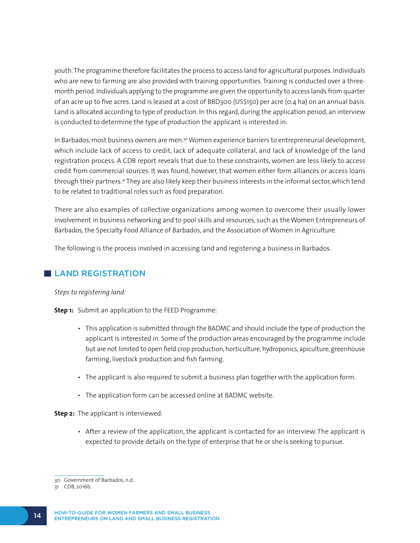<span id="page-23-0"></span>youth. The programme therefore facilitates the process to access land for agricultural purposes. Individuals who are new to farming are also provided with training opportunities. Training is conducted over a threemonth period. Individuals applying to the programme are given the opportunity to access lands from quarter of an acre up to five acres. Land is leased at a cost of BBD300 (US\$150) per acre (0.4 ha) on an annual basis. Land is allocated according to type of production. In this regard, during the application period, an interview is conducted to determine the type of production the applicant is interested in.

In Barbados, most business owners are men.<sup>30</sup> Women experience barriers to entrepreneurial development, which include lack of access to credit, lack of adequate collateral, and lack of knowledge of the land registration process. A CDB report reveals that due to these constraints, women are less likely to access credit from commercial sources. It was found, however, that women either form alliances or access loans through their partners.<sup>31</sup> They are also likely keep their business interests in the informal sector, which tend to be related to traditional roles such as food preparation.

There are also examples of collective organizations among women to overcome their usually lower involvement in business networking and to pool skills and resources, such as the Women Entrepreneurs of Barbados, the Specialty Food Alliance of Barbados, and the Association of Women in Agriculture.

The following is the process involved in accessing land and registering a business in Barbados.

## **LAND REGISTRATION**

### *Steps to registering land:*

**Step 1:** Submit an application to the FEED Programme:

- This application is submitted through the BADMC and should include the type of production the applicant is interested in. Some of the production areas encouraged by the programme include but are not limited to open field crop production, horticulture, hydroponics, apiculture, greenhouse farming, livestock production and fish farming.
- The applicant is also required to submit a business plan together with the application form.
- The application form can be accessed online at BADMC website.

**Step 2:** The applicant is interviewed:

• After a review of the application, the applicant is contacted for an interview. The applicant is expected to provide details on the type of enterprise that he or she is seeking to pursue.

<sup>30</sup> Government of Barbados, n.d.

<sup>31</sup> CDB, 2016b.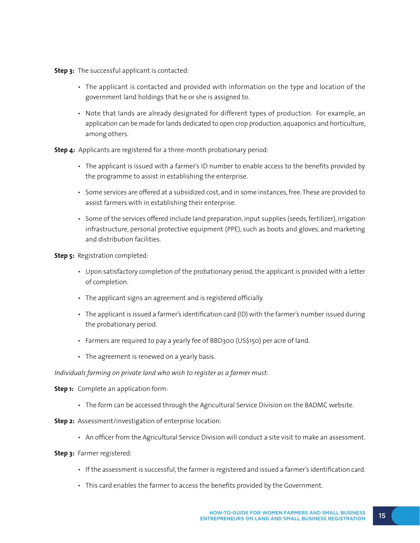**Step 3:** The successful applicant is contacted:

- The applicant is contacted and provided with information on the type and location of the government land holdings that he or she is assigned to.
- Note that lands are already designated for different types of production. For example, an application can be made for lands dedicated to open crop production, aquaponics and horticulture, among others.

**Step 4:** Applicants are registered for a three-month probationary period:

- The applicant is issued with a farmer's ID number to enable access to the benefits provided by the programme to assist in establishing the enterprise.
- Some services are offered at a subsidized cost, and in some instances, free. These are provided to assist farmers with in establishing their enterprise.
- Some of the services offered include land preparation, input supplies (seeds, fertilizer), irrigation infrastructure, personal protective equipment (PPE), such as boots and gloves, and marketing and distribution facilities.

**Step 5:** Registration completed:

- Upon satisfactory completion of the probationary period, the applicant is provided with a letter of completion.
- The applicant signs an agreement and is registered officially.
- The applicant is issued a farmer's identification card (ID) with the farmer's number issued during the probationary period.
- Farmers are required to pay a yearly fee of BBD300 (US\$150) per acre of land.
- The agreement is renewed on a yearly basis.

*Individuals farming on private land who wish to register as a farmer must:* 

**Step 1:** Complete an application form:

• The form can be accessed through the Agricultural Service Division on the BADMC website.

**Step 2:** Assessment/investigation of enterprise location:

- An officer from the Agricultural Service Division will conduct a site visit to make an assessment.
- **Step 3:** Farmer registered:
	- If the assessment is successful, the farmer is registered and issued a farmer's identification card.
	- This card enables the farmer to access the benefits provided by the Government.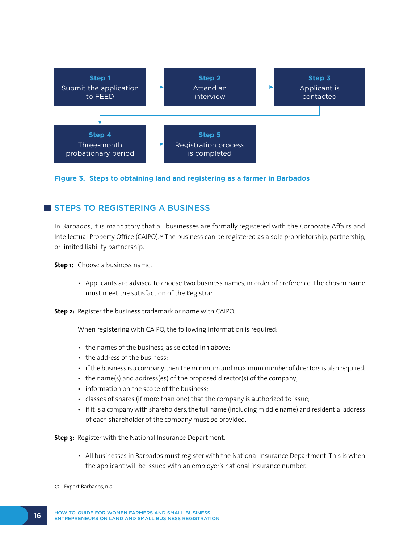<span id="page-25-0"></span>

### **Figure 3. Steps to obtaining land and registering as a farmer in Barbados**

### STEPS TO REGISTERING A BUSINESS

In Barbados, it is mandatory that all businesses are formally registered with the Corporate Affairs and Intellectual Property Office (CAIPO).<sup>32</sup> The business can be registered as a sole proprietorship, partnership, or limited liability partnership.

**Step 1:** Choose a business name.

• Applicants are advised to choose two business names, in order of preference. The chosen name must meet the satisfaction of the Registrar.

**Step 2:** Register the business trademark or name with CAIPO.

When registering with CAIPO, the following information is required:

- the names of the business, as selected in 1 above;
- the address of the business;
- if the business is a company, then the minimum and maximum number of directors is also required;
- the name(s) and address(es) of the proposed director(s) of the company;
- information on the scope of the business;
- classes of shares (if more than one) that the company is authorized to issue;
- if it is a company with shareholders, the full name (including middle name) and residential address of each shareholder of the company must be provided.

**Step 3:** Register with the National Insurance Department.

• All businesses in Barbados must register with the National Insurance Department. This is when the applicant will be issued with an employer's national insurance number.

<sup>32</sup> Export Barbados, n.d.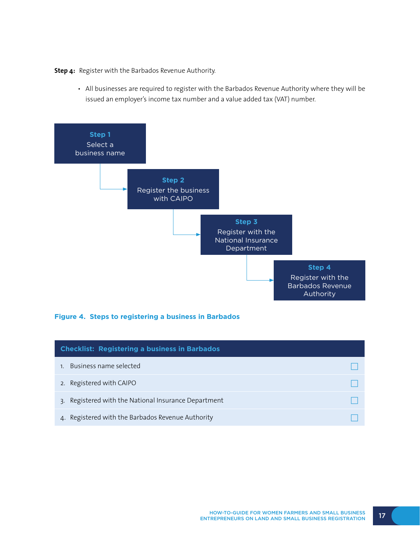<span id="page-26-0"></span>**Step 4:** Register with the Barbados Revenue Authority.

• All businesses are required to register with the Barbados Revenue Authority where they will be issued an employer's income tax number and a value added tax (VAT) number.



#### **Figure 4. Steps to registering a business in Barbados**

| <b>Checklist: Registering a business in Barbados</b>    |  |
|---------------------------------------------------------|--|
| Business name selected                                  |  |
| 2. Registered with CAIPO                                |  |
| Registered with the National Insurance Department<br>3. |  |
| 4. Registered with the Barbados Revenue Authority       |  |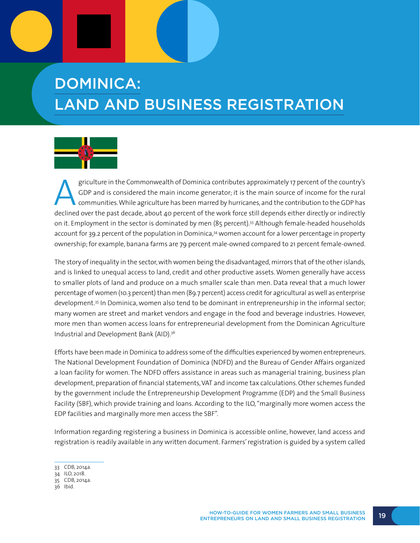# <span id="page-28-0"></span>DOMINICA: LAND AND BUSINESS REGISTRATION



griculture in the Commonwealth of Dominica contributes approximately 17 percent of the country's<br>GDP and is considered the main income generator; it is the main source of income for the rural<br>communities. While agriculture GDP and is considered the main income generator; it is the main source of income for the rural communities. While agriculture has been marred by hurricanes, and the contribution to the GDP has declined over the past decade, about 40 percent of the work force still depends either directly or indirectly on it. Employment in the sector is dominated by men (85 percent).33 Although female-headed households account for 39.2 percent of the population in Dominica,34 women account for a lower percentage in property ownership; for example, banana farms are 79 percent male-owned compared to 21 percent female-owned.

The story of inequality in the sector, with women being the disadvantaged, mirrors that of the other islands, and is linked to unequal access to land, credit and other productive assets. Women generally have access to smaller plots of land and produce on a much smaller scale than men. Data reveal that a much lower percentage of women (10.3 percent) than men (89.7 percent) access credit for agricultural as well as enterprise development.35 In Dominica, women also tend to be dominant in entrepreneurship in the informal sector; many women are street and market vendors and engage in the food and beverage industries. However, more men than women access loans for entrepreneurial development from the Dominican Agriculture Industrial and Development Bank (AID).36

Efforts have been made in Dominica to address some of the difficulties experienced by women entrepreneurs. The National Development Foundation of Dominica (NDFD) and the Bureau of Gender Affairs organized a loan facility for women. The NDFD offers assistance in areas such as managerial training, business plan development, preparation of financial statements, VAT and income tax calculations. Other schemes funded by the government include the Entrepreneurship Development Programme (EDP) and the Small Business Facility (SBF), which provide training and loans. According to the ILO, "marginally more women access the EDP facilities and marginally more men access the SBF".

Information regarding registering a business in Dominica is accessible online, however, land access and registration is readily available in any written document. Farmers' registration is guided by a system called

36 Ibid.

<sup>33</sup> CDB, 2014a.

<sup>34</sup> ILO, 2018.

<sup>35</sup> CDB, 2014a.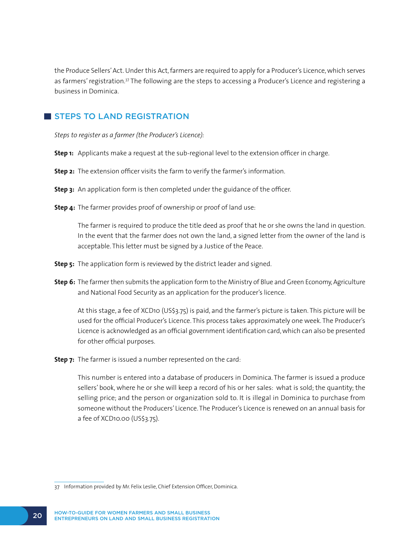<span id="page-29-0"></span>the Produce Sellers' Act. Under this Act, farmers are required to apply for a Producer's Licence, which serves as farmers' registration.<sup>37</sup> The following are the steps to accessing a Producer's Licence and registering a business in Dominica.

### **STEPS TO LAND REGISTRATION**

*Steps to register as a farmer (the Producer's Licence):* 

- **Step 1:** Applicants make a request at the sub-regional level to the extension officer in charge.
- **Step 2:** The extension officer visits the farm to verify the farmer's information.
- **Step 3:** An application form is then completed under the guidance of the officer.
- **Step 4:** The farmer provides proof of ownership or proof of land use:

The farmer is required to produce the title deed as proof that he or she owns the land in question. In the event that the farmer does not own the land, a signed letter from the owner of the land is acceptable. This letter must be signed by a Justice of the Peace.

- **Step 5:** The application form is reviewed by the district leader and signed.
- **Step 6:** The farmer then submits the application form to the Ministry of Blue and Green Economy, Agriculture and National Food Security as an application for the producer's licence.

At this stage, a fee of XCD10 (US\$3.75) is paid, and the farmer's picture is taken. This picture will be used for the official Producer's Licence. This process takes approximately one week. The Producer's Licence is acknowledged as an official government identification card, which can also be presented for other official purposes.

**Step 7:** The farmer is issued a number represented on the card:

This number is entered into a database of producers in Dominica. The farmer is issued a produce sellers' book, where he or she will keep a record of his or her sales: what is sold; the quantity; the selling price; and the person or organization sold to. It is illegal in Dominica to purchase from someone without the Producers' Licence. The Producer's Licence is renewed on an annual basis for a fee of XCD10.00 (US\$3.75).

<sup>37</sup> Information provided by Mr. Felix Leslie, Chief Extension Officer, Dominica.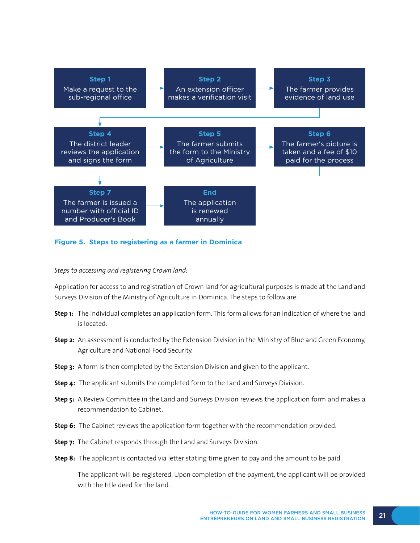<span id="page-30-0"></span>

#### **Figure 5. Steps to registering as a farmer in Dominica**

*Steps to accessing and registering Crown land:*

Application for access to and registration of Crown land for agricultural purposes is made at the Land and Surveys Division of the Ministry of Agriculture in Dominica. The steps to follow are:

- **Step 1:** The individual completes an application form. This form allows for an indication of where the land is located.
- **Step 2:** An assessment is conducted by the Extension Division in the Ministry of Blue and Green Economy, Agriculture and National Food Security.
- **Step 3:** A form is then completed by the Extension Division and given to the applicant.
- **Step 4:** The applicant submits the completed form to the Land and Surveys Division.
- **Step 5:** A Review Committee in the Land and Surveys Division reviews the application form and makes a recommendation to Cabinet.
- **Step 6:** The Cabinet reviews the application form together with the recommendation provided.
- **Step 7:** The Cabinet responds through the Land and Surveys Division.
- **Step 8:** The applicant is contacted via letter stating time given to pay and the amount to be paid.

The applicant will be registered. Upon completion of the payment, the applicant will be provided with the title deed for the land.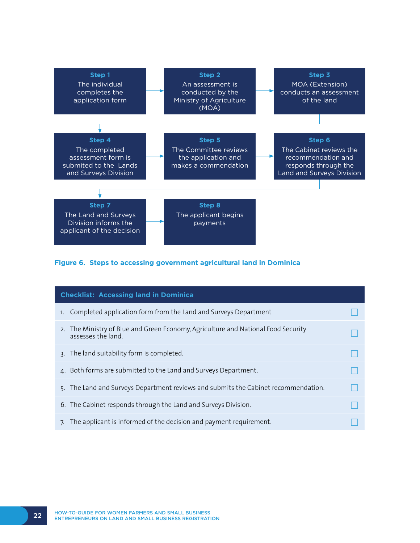<span id="page-31-0"></span>

#### **Figure 6. Steps to accessing government agricultural land in Dominica**

| <b>Checklist: Accessing land in Dominica</b>                                                            |  |
|---------------------------------------------------------------------------------------------------------|--|
| 1. Completed application form from the Land and Surveys Department                                      |  |
| 2. The Ministry of Blue and Green Economy, Agriculture and National Food Security<br>assesses the land. |  |
| 3. The land suitability form is completed.                                                              |  |
| 4. Both forms are submitted to the Land and Surveys Department.                                         |  |
| 5. The Land and Surveys Department reviews and submits the Cabinet recommendation.                      |  |
| 6. The Cabinet responds through the Land and Surveys Division.                                          |  |
| The applicant is informed of the decision and payment requirement.<br>7.                                |  |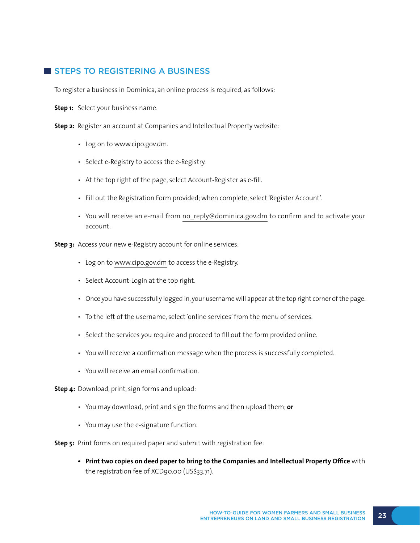## <span id="page-32-0"></span>**STEPS TO REGISTERING A BUSINESS**

To register a business in Dominica, an online process is required, as follows:

**Step 1:** Select your business name.

**Step 2:** Register an account at Companies and Intellectual Property website:

- Log on to [www.cipo.gov.dm](http://www.cipo.gov.dm).
- Select e-Registry to access the e-Registry.
- At the top right of the page, select Account-Register as e-fill.
- Fill out the Registration Form provided; when complete, select 'Register Account'.
- You will receive an e-mail from [no\\_reply@dominica.gov.dm](mailto:no_reply@dominica.gov.dm) to confirm and to activate your account.

**Step 3:** Access your new e-Registry account for online services:

- Log on to [www.cipo.gov.dm](http://www.cipo.gov.dm) to access the e-Registry.
- Select Account-Login at the top right.
- Once you have successfully logged in, your username will appear at the top right corner of the page.
- To the left of the username, select 'online services' from the menu of services.
- Select the services you require and proceed to fill out the form provided online.
- You will receive a confirmation message when the process is successfully completed.
- You will receive an email confirmation.

**Step 4:** Download, print, sign forms and upload:

- You may download, print and sign the forms and then upload them; **or**
- You may use the e-signature function.

**Step 5:** Print forms on required paper and submit with registration fee:

**• Print two copies on deed paper to bring to the Companies and Intellectual Property Office** with the registration fee of XCD90.00 (US\$33.71).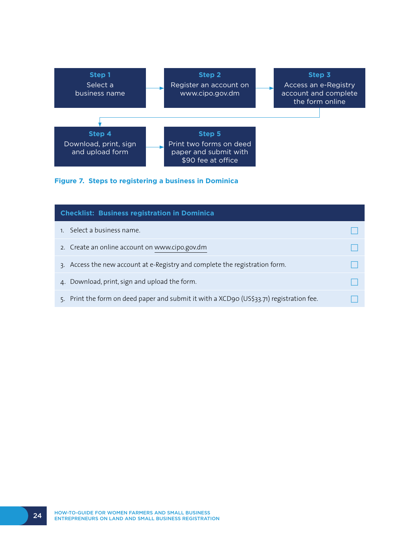<span id="page-33-0"></span>

### **Figure 7. Steps to registering a business in Dominica**

| <b>Checklist: Business registration in Dominica</b>                                        |  |
|--------------------------------------------------------------------------------------------|--|
| Select a business name.                                                                    |  |
| 2. Create an online account on www.cipo.gov.dm                                             |  |
| Access the new account at e-Registry and complete the registration form.<br>$\mathsf{R}$ . |  |
| 4. Download, print, sign and upload the form.                                              |  |
| Print the form on deed paper and submit it with a XCD90 (US\$33.71) registration fee.      |  |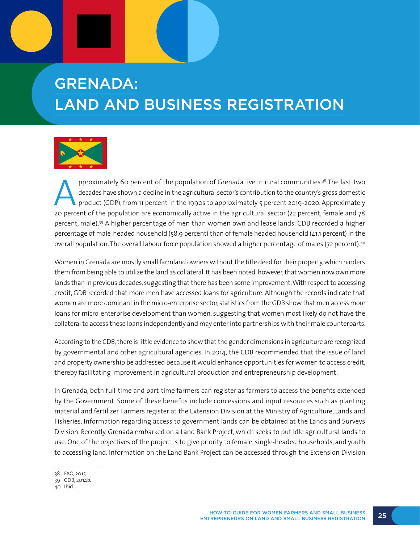# <span id="page-34-0"></span>GRENADA: LAND AND BUSINESS REGISTRATION



pproximately 60 percent of the population of Grenada live in rural communities.<sup>38</sup> The last two<br>decades have shown a decline in the agricultural sector's contribution to the country's gross domestic<br>product (GDP), from 11 decades have shown a decline in the agricultural sector's contribution to the country's gross domestic product (GDP), from 11 percent in the 1990s to approximately 5 percent 2019-2020. Approximately 20 percent of the population are economically active in the agricultural sector (22 percent, female and 78 percent, male).39 A higher percentage of men than women own and lease lands. CDB recorded a higher percentage of male-headed household (58.9 percent) than of female headed household (41.1 percent) in the overall population. The overall labour force population showed a higher percentage of males (72 percent).40

Women in Grenada are mostly small farmland owners without the title deed for their property, which hinders them from being able to utilize the land as collateral. It has been noted, however, that women now own more lands than in previous decades, suggesting that there has been some improvement. With respect to accessing credit, GDB recorded that more men have accessed loans for agriculture. Although the records indicate that women are more dominant in the micro-enterprise sector, statistics from the GDB show that men access more loans for micro-enterprise development than women, suggesting that women most likely do not have the collateral to access these loans independently and may enter into partnerships with their male counterparts.

According to the CDB, there is little evidence to show that the gender dimensions in agriculture are recognized by governmental and other agricultural agencies. In 2014, the CDB recommended that the issue of land and property ownership be addressed because it would enhance opportunities for women to access credit, thereby facilitating improvement in agricultural production and entrepreneurship development.

In Grenada, both full-time and part-time farmers can register as farmers to access the benefits extended by the Government. Some of these benefits include concessions and input resources such as planting material and fertilizer. Farmers register at the Extension Division at the Ministry of Agriculture, Lands and Fisheries. Information regarding access to government lands can be obtained at the Lands and Surveys Division. Recently, Grenada embarked on a Land Bank Project, which seeks to put idle agricultural lands to use. One of the objectives of the project is to give priority to female, single-headed households, and youth to accessing land. Information on the Land Bank Project can be accessed through the Extension Division

- 38 FAO, 2015.
- 39 CDB, 2014b.

<sup>40</sup> Ibid.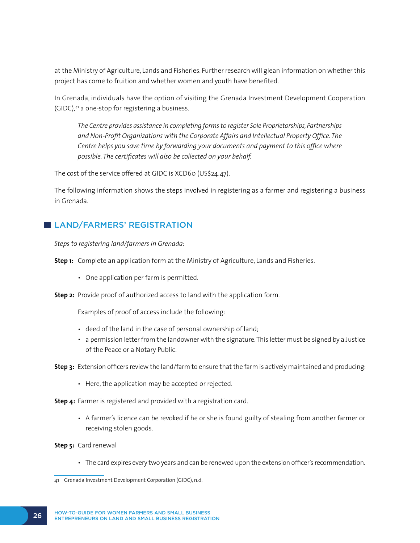<span id="page-35-0"></span>at the Ministry of Agriculture, Lands and Fisheries. Further research will glean information on whether this project has come to fruition and whether women and youth have benefited.

In Grenada, individuals have the option of visiting the Grenada Investment Development Cooperation  $(GIDC)$ , $41$  a one-stop for registering a business.

*The Centre provides assistance in completing forms to register Sole Proprietorships, Partnerships and Non-Profit Organizations with the Corporate Affairs and Intellectual Property Office. The Centre helps you save time by forwarding your documents and payment to this office where possible. The certificates will also be collected on your behalf.*

The cost of the service offered at GIDC is XCD60 (US\$24.47).

The following information shows the steps involved in registering as a farmer and registering a business in Grenada.

## **LAND/FARMERS' REGISTRATION**

*Steps to registering land/farmers in Grenada:*

**Step 1:** Complete an application form at the Ministry of Agriculture, Lands and Fisheries.

• One application per farm is permitted.

**Step 2:** Provide proof of authorized access to land with the application form.

Examples of proof of access include the following:

- deed of the land in the case of personal ownership of land;
- a permission letter from the landowner with the signature. This letter must be signed by a Justice of the Peace or a Notary Public.

**Step 3:** Extension officers review the land/farm to ensure that the farm is actively maintained and producing:

• Here, the application may be accepted or rejected.

**Step 4:** Farmer is registered and provided with a registration card.

• A farmer's licence can be revoked if he or she is found guilty of stealing from another farmer or receiving stolen goods.

**Step 5:** Card renewal

• The card expires every two years and can be renewed upon the extension officer's recommendation.

<sup>41</sup> Grenada Investment Development Corporation (GIDC), n.d.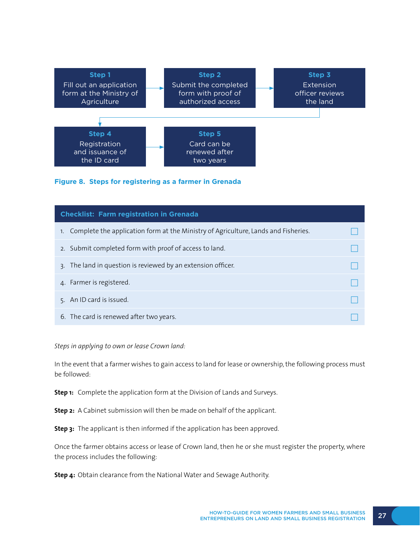<span id="page-36-0"></span>

#### **Figure 8. Steps for registering as a farmer in Grenada**

| <b>Checklist: Farm registration in Grenada</b>                                           |  |
|------------------------------------------------------------------------------------------|--|
| Complete the application form at the Ministry of Agriculture, Lands and Fisheries.<br>1. |  |
| 2. Submit completed form with proof of access to land.                                   |  |
| 3. The land in question is reviewed by an extension officer.                             |  |
| 4. Farmer is registered.                                                                 |  |
| 5. An ID card is issued.                                                                 |  |
| 6. The card is renewed after two years.                                                  |  |

#### *Steps in applying to own or lease Crown land:*

In the event that a farmer wishes to gain access to land for lease or ownership, the following process must be followed:

**Step 1:** Complete the application form at the Division of Lands and Surveys.

**Step 2:** A Cabinet submission will then be made on behalf of the applicant.

**Step 3:** The applicant is then informed if the application has been approved.

Once the farmer obtains access or lease of Crown land, then he or she must register the property, where the process includes the following:

**Step 4:** Obtain clearance from the National Water and Sewage Authority.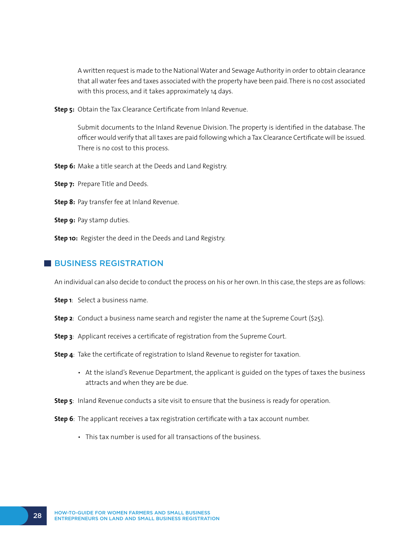<span id="page-37-0"></span>A written request is made to the National Water and Sewage Authority in order to obtain clearance that all water fees and taxes associated with the property have been paid. There is no cost associated with this process, and it takes approximately 14 days.

**Step 5:** Obtain the Tax Clearance Certificate from Inland Revenue.

Submit documents to the Inland Revenue Division. The property is identified in the database. The officer would verify that all taxes are paid following which a Tax Clearance Certificate will be issued. There is no cost to this process.

**Step 6:** Make a title search at the Deeds and Land Registry.

**Step 7:** Prepare Title and Deeds.

**Step 8:** Pay transfer fee at Inland Revenue.

**Step 9:** Pay stamp duties.

**Step 10:** Register the deed in the Deeds and Land Registry.

### **BUSINESS REGISTRATION**

An individual can also decide to conduct the process on his or her own. In this case, the steps are as follows:

**Step 1**: Select a business name.

**Step 2**: Conduct a business name search and register the name at the Supreme Court (\$25).

**Step 3**: Applicant receives a certificate of registration from the Supreme Court.

**Step 4**: Take the certificate of registration to Island Revenue to register for taxation.

• At the island's Revenue Department, the applicant is guided on the types of taxes the business attracts and when they are be due.

**Step 5**: Inland Revenue conducts a site visit to ensure that the business is ready for operation.

**Step 6**: The applicant receives a tax registration certificate with a tax account number.

• This tax number is used for all transactions of the business.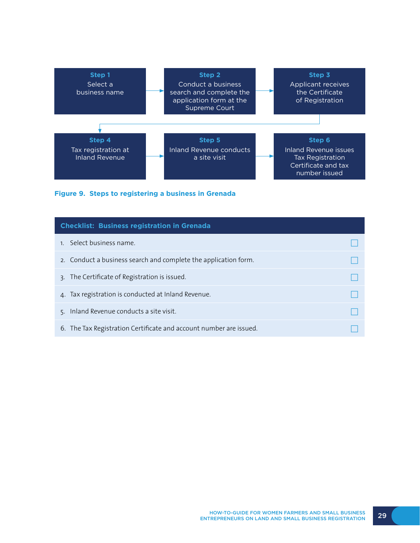<span id="page-38-0"></span>

#### **Figure 9. Steps to registering a business in Grenada**

| <b>Checklist: Business registration in Grenada</b>                 |  |
|--------------------------------------------------------------------|--|
| 1. Select business name.                                           |  |
| 2. Conduct a business search and complete the application form.    |  |
| 3. The Certificate of Registration is issued.                      |  |
| 4. Tax registration is conducted at Inland Revenue.                |  |
| 5. Inland Revenue conducts a site visit.                           |  |
| 6. The Tax Registration Certificate and account number are issued. |  |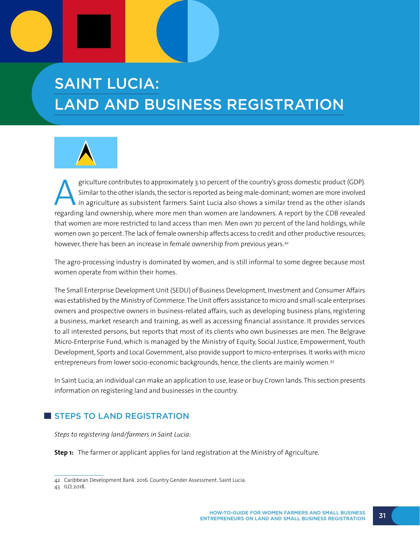## <span id="page-40-0"></span>SAINT LUCIA: LAND AND BUSINESS REGISTRATION



griculture contributes to approximately 3.10 percent of the country's gross domestic product (GDP). Similar to the other islands, the sector is reported as being male-dominant; women are more involved in agriculture as subsistent farmers. Saint Lucia also shows a similar trend as the other islands regarding land ownership, where more men than women are landowners. A report by the CDB revealed that women are more restricted to land access than men. Men own 70 percent of the land holdings, while women own 30 percent. The lack of female ownership affects access to credit and other productive resources; however, there has been an increase in female ownership from previous years.<sup>42</sup>

The agro-processing industry is dominated by women, and is still informal to some degree because most women operate from within their homes.

The Small Enterprise Development Unit (SEDU) of Business Development, Investment and Consumer Affairs was established by the Ministry of Commerce. The Unit offers assistance to micro and small-scale enterprises owners and prospective owners in business-related affairs, such as developing business plans, registering a business, market research and training, as well as accessing financial assistance. It provides services to all interested persons, but reports that most of its clients who own businesses are men. The Belgrave Micro-Enterprise Fund, which is managed by the Ministry of Equity, Social Justice, Empowerment, Youth Development, Sports and Local Government, also provide support to micro-enterprises. It works with micro entrepreneurs from lower socio-economic backgrounds, hence, the clients are mainly women.43

In Saint Lucia, an individual can make an application to use, lease or buy Crown lands. This section presents information on registering land and businesses in the country.

## **STEPS TO LAND REGISTRATION**

*Steps to registering land/farmers in Saint Lucia:*

**Step 1:** The farmer or applicant applies for land registration at the Ministry of Agriculture.

43 ILO, 2018.

<sup>42</sup> Caribbean Development Bank. 2016. Country Gender Assessment. Saint Lucia.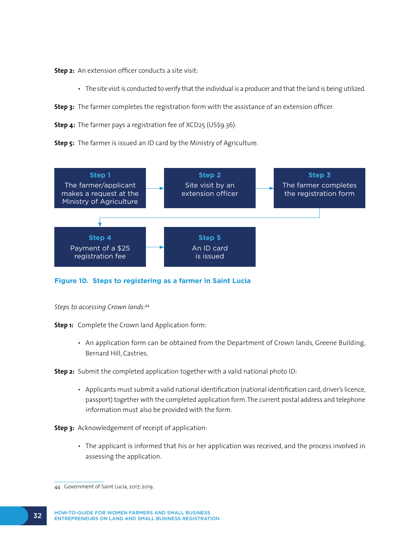<span id="page-41-0"></span>**Step 2:** An extension officer conducts a site visit:

• The site visit is conducted to verify that the individual is a producer and that the land is being utilized.

**Step 3:** The farmer completes the registration form with the assistance of an extension officer.

**Step 4:** The farmer pays a registration fee of XCD25 (US\$9.36).

**Step 5:** The farmer is issued an ID card by the Ministry of Agriculture.



### **Figure 10. Steps to registering as a farmer in Saint Lucia**

*Steps to accessing Crown lands:*<sup>44</sup>

**Step 1:** Complete the Crown land Application form:

• An application form can be obtained from the Department of Crown lands, Greene Building, Bernard Hill, Castries.

**Step 2:** Submit the completed application together with a valid national photo ID:

• Applicants must submit a valid national identification (national identification card, driver's licence, passport) together with the completed application form. The current postal address and telephone information must also be provided with the form.

**Step 3:** Acknowledgement of receipt of application:

• The applicant is informed that his or her application was received, and the process involved in assessing the application.

<sup>44</sup> Government of Saint Lucia, 2017; 2019.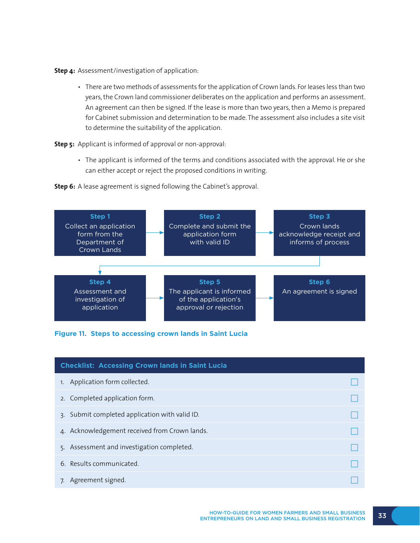<span id="page-42-0"></span>**Step 4:** Assessment/investigation of application:

• There are two methods of assessments for the application of Crown lands. For leases less than two years, the Crown land commissioner deliberates on the application and performs an assessment. An agreement can then be signed. If the lease is more than two years, then a Memo is prepared for Cabinet submission and determination to be made. The assessment also includes a site visit to determine the suitability of the application.

**Step 5:** Applicant is informed of approval or non-approval:

• The applicant is informed of the terms and conditions associated with the approval. He or she can either accept or reject the proposed conditions in writing.



**Step 6:** A lease agreement is signed following the Cabinet's approval.

#### **Figure 11. Steps to accessing crown lands in Saint Lucia**

| <b>Checklist: Accessing Crown lands in Saint Lucia</b> |  |
|--------------------------------------------------------|--|
| 1. Application form collected.                         |  |
| 2. Completed application form.                         |  |
| 3. Submit completed application with valid ID.         |  |
| 4. Acknowledgement received from Crown lands.          |  |
| 5. Assessment and investigation completed.             |  |
| 6. Results communicated.                               |  |
| Agreement signed.                                      |  |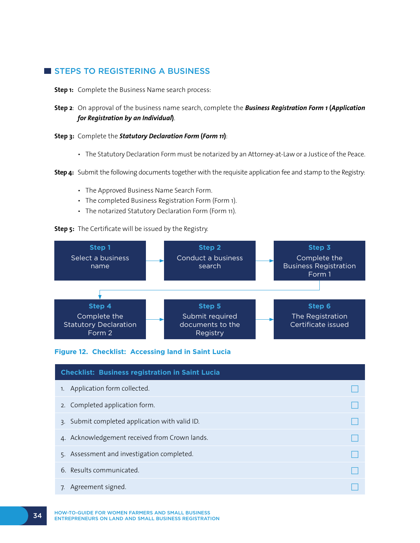### <span id="page-43-0"></span>**STEPS TO REGISTERING A BUSINESS**

- **Step 1:** Complete the Business Name search process:
- **Step 2**: On approval of the business name search, complete the *Business Registration Form 1* **(***Application for Registration by an Individual***)**.

#### **Step 3:** Complete the *Statutory Declaration Form* **(***Form 11***)**:

- The Statutory Declaration Form must be notarized by an Attorney-at-Law or a Justice of the Peace.
- **Step 4:** Submit the following documents together with the requisite application fee and stamp to the Registry:
	- The Approved Business Name Search Form.
	- The completed Business Registration Form (Form 1).
	- The notarized Statutory Declaration Form (Form 11).

**Step 5:** The Certificate will be issued by the Registry.



### **Figure 12. Checklist: Accessing land in Saint Lucia**

| <b>Checklist: Business registration in Saint Lucia</b> |  |
|--------------------------------------------------------|--|
| Application form collected.<br>1.                      |  |
| 2. Completed application form.                         |  |
| 3. Submit completed application with valid ID.         |  |
| 4. Acknowledgement received from Crown lands.          |  |
| 5. Assessment and investigation completed.             |  |
| 6. Results communicated.                               |  |
| 7. Agreement signed.                                   |  |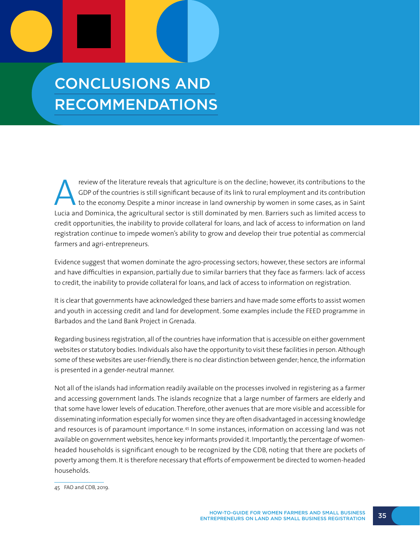## <span id="page-44-0"></span>CONCLUSIONS AND RECOMMENDATIONS

review of the literature reveals that agriculture is on the decline; however, its contributions to the GDP of the countries is still significant because of its link to rural employment and its contribution to the economy. GDP of the countries is still significant because of its link to rural employment and its contribution to the economy. Despite a minor increase in land ownership by women in some cases, as in Saint Lucia and Dominica, the agricultural sector is still dominated by men. Barriers such as limited access to credit opportunities, the inability to provide collateral for loans, and lack of access to information on land registration continue to impede women's ability to grow and develop their true potential as commercial farmers and agri-entrepreneurs.

Evidence suggest that women dominate the agro-processing sectors; however, these sectors are informal and have difficulties in expansion, partially due to similar barriers that they face as farmers: lack of access to credit, the inability to provide collateral for loans, and lack of access to information on registration.

It is clear that governments have acknowledged these barriers and have made some efforts to assist women and youth in accessing credit and land for development. Some examples include the FEED programme in Barbados and the Land Bank Project in Grenada.

Regarding business registration, all of the countries have information that is accessible on either government websites or statutory bodies. Individuals also have the opportunity to visit these facilities in person. Although some of these websites are user-friendly, there is no clear distinction between gender; hence, the information is presented in a gender-neutral manner.

Not all of the islands had information readily available on the processes involved in registering as a farmer and accessing government lands. The islands recognize that a large number of farmers are elderly and that some have lower levels of education. Therefore, other avenues that are more visible and accessible for disseminating information especially for women since they are often disadvantaged in accessing knowledge and resources is of paramount importance.<sup>45</sup> In some instances, information on accessing land was not available on government websites, hence key informants provided it. Importantly, the percentage of womenheaded households is significant enough to be recognized by the CDB, noting that there are pockets of poverty among them. It is therefore necessary that efforts of empowerment be directed to women-headed households.

<sup>45</sup> FAO and CDB, 2019.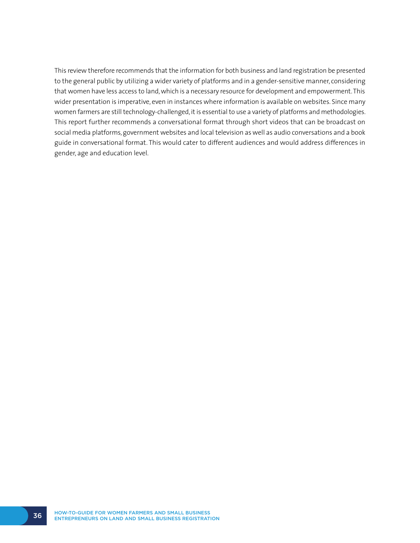This review therefore recommends that the information for both business and land registration be presented to the general public by utilizing a wider variety of platforms and in a gender-sensitive manner, considering that women have less access to land, which is a necessary resource for development and empowerment. This wider presentation is imperative, even in instances where information is available on websites. Since many women farmers are still technology-challenged, it is essential to use a variety of platforms and methodologies. This report further recommends a conversational format through short videos that can be broadcast on social media platforms, government websites and local television as well as audio conversations and a book guide in conversational format. This would cater to different audiences and would address differences in gender, age and education level.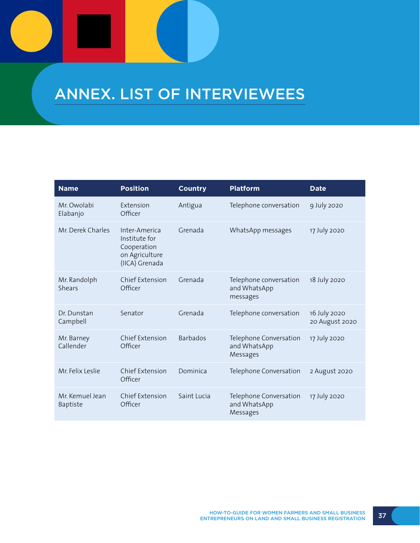## <span id="page-46-0"></span>ANNEX. LIST OF INTERVIEWEES

| <b>Name</b>                   | <b>Position</b>                                                                   | <b>Country</b>  | <b>Platform</b>                                    | <b>Date</b>                    |
|-------------------------------|-----------------------------------------------------------------------------------|-----------------|----------------------------------------------------|--------------------------------|
| Mr. Owolabi<br>Elabanjo       | Extension<br>Officer                                                              | Antigua         | Telephone conversation                             | 9 July 2020                    |
| Mr. Derek Charles             | Inter-America<br>Institute for<br>Cooperation<br>on Agriculture<br>(IICA) Grenada | Grenada         | WhatsApp messages                                  | 17 July 2020                   |
| Mr. Randolph<br><b>Shears</b> | Chief Extension<br>Officer                                                        | Grenada         | Telephone conversation<br>and WhatsApp<br>messages | 18 July 2020                   |
| Dr. Dunstan<br>Campbell       | Senator                                                                           | Grenada         | Telephone conversation                             | 16 July 2020<br>20 August 2020 |
| Mr. Barney<br>Callender       | Chief Extension<br>Officer                                                        | <b>Barbados</b> | Telephone Conversation<br>and WhatsApp<br>Messages | 17 July 2020                   |
| Mr. Felix Leslie              | Chief Extension<br>Officer                                                        | Dominica        | Telephone Conversation                             | 2 August 2020                  |
| Mr. Kemuel Jean<br>Baptiste   | Chief Extension<br>Officer                                                        | Saint Lucia     | Telephone Conversation<br>and WhatsApp<br>Messages | 17 July 2020                   |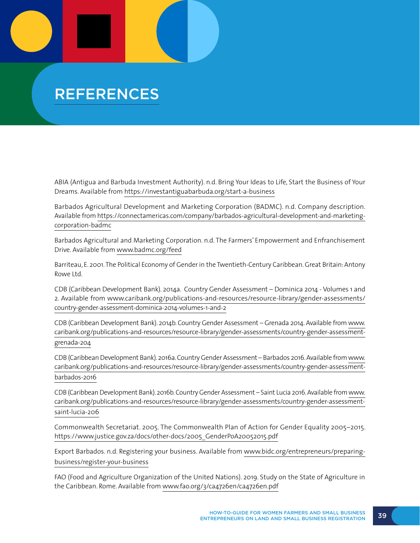## <span id="page-48-0"></span>REFERENCES

ABIA (Antigua and Barbuda Investment Authority). n.d. Bring Your Ideas to Life, Start the Business of Your Dreams. Available from [https://investantiguabarbuda.org/start-a-business](https://investantiguabarbuda.org/start-a-business/)

Barbados Agricultural Development and Marketing Corporation (BADMC). n.d. Company description. Available from [https://connectamericas.com/company/barbados-agricultural-development-and-marketing](https://connectamericas.com/company/barbados-agricultural-development-and-marketing-corporation-badmc)[corporation-badmc](https://connectamericas.com/company/barbados-agricultural-development-and-marketing-corporation-badmc)

Barbados Agricultural and Marketing Corporation. n.d. The Farmers' Empowerment and Enfranchisement Drive. Available from [www.badmc.org/feed](http://www.badmc.org/feed)

Barriteau, E. 2001. The Political Economy of Gender in the Twentieth-Century Caribbean. Great Britain: Antony Rowe Ltd.

CDB (Caribbean Development Bank). 2014a. Country Gender Assessment – Dominica 2014 - Volumes 1 and 2. Available from [www.caribank.org/publications-and-resources/resource-library/gender-assessments/](http://www.caribank.org/publications-and-resources/resource-library/gender-assessments/country-gender-assessment-dominica-2014-volumes-1-and-2) [country-gender-assessment-dominica-2014-volumes-1-and-2](http://www.caribank.org/publications-and-resources/resource-library/gender-assessments/country-gender-assessment-dominica-2014-volumes-1-and-2)

CDB (Caribbean Development Bank). 2014b. Country Gender Assessment – Grenada 2014. Available from [www.](http://www.caribank.org/publications-and-resources/resource-library/gender-assessments/country-gender-assessment-grenada-204) [caribank.org/publications-and-resources/resource-library/gender-assessments/country-gender-assessment](http://www.caribank.org/publications-and-resources/resource-library/gender-assessments/country-gender-assessment-grenada-204)[grenada-204](http://www.caribank.org/publications-and-resources/resource-library/gender-assessments/country-gender-assessment-grenada-204)

CDB (Caribbean Development Bank). 2016a. Country Gender Assessment – Barbados 2016. Available from [www.](http://www.caribank.org/publications-and-resources/resource-library/gender-assessments/country-gender-assessment-barbados-2016) [caribank.org/publications-and-resources/resource-library/gender-assessments/country-gender-assessment](http://www.caribank.org/publications-and-resources/resource-library/gender-assessments/country-gender-assessment-barbados-2016)[barbados-2016](http://www.caribank.org/publications-and-resources/resource-library/gender-assessments/country-gender-assessment-barbados-2016)

CDB (Caribbean Development Bank). 2016b. Country Gender Assessment – Saint Lucia 2016. Available from [www.](http://www.caribank.org/publications-and-resources/resource-library/gender-assessments/country-gender-assessment-saint-lucia-206) [caribank.org/publications-and-resources/resource-library/gender-assessments/country-gender-assessment](http://www.caribank.org/publications-and-resources/resource-library/gender-assessments/country-gender-assessment-saint-lucia-206)[saint-lucia-206](http://www.caribank.org/publications-and-resources/resource-library/gender-assessments/country-gender-assessment-saint-lucia-206)

Commonwealth Secretariat. 2005. The Commonwealth Plan of Action for Gender Equality 2005–2015. [https://www.justice.gov.za/docs/other-docs/2005\\_GenderPoA20052015.pdf](https://www.justice.gov.za/docs/other-docs/2005_GenderPoA20052015.pdf)

Export Barbados. n.d. Registering your business. Available from [www.bidc.org/entrepreneurs/preparing](http://www.bidc.org/entrepreneurs/preparing-business/register-your-business)[business/register-your-business](http://www.bidc.org/entrepreneurs/preparing-business/register-your-business)

FAO (Food and Agriculture Organization of the United Nations). 2019. Study on the State of Agriculture in the Caribbean. Rome. Available from www.fao.org/3/ca4726en/ca4726en.pdf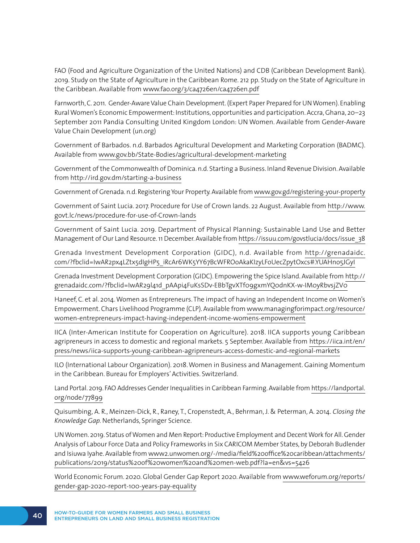FAO (Food and Agriculture Organization of the United Nations) and CDB (Caribbean Development Bank). 2019. Study on the State of Agriculture in the Caribbean Rome. 212 pp. Study on the State of Agriculture in the Caribbean. Available from www.fao.org/3/ca4726en/ca4726en.pdf

Farnworth, C. 2011. Gender-Aware Value Chain Development. (Expert Paper Prepared for UN Women). Enabling Rural Women's Economic Empowerment: Institutions, opportunities and participation. Accra, Ghana, 20–23 September 2011 Pandia Consulting United Kingdom London: UN Women. Available from Gender-Aware Value Chain Development (un.org)

Government of Barbados. n.d. Barbados Agricultural Development and Marketing Corporation (BADMC). Available from [www.gov.bb/State-Bodies/agricultural-development-marketing](http://www.gov.bb/State-Bodies/agricultural-development-marketing)

Government of the Commonwealth of Dominica. n.d. Starting a Business. Inland Revenue Division. Available from <http://ird.gov.dm/starting-a-business>

Government of Grenada. n.d. Registering Your Property. Available from [www.gov.gd/registering-your-property](http://www.gov.gd/registering-your-property )

Government of Saint Lucia. 2017. Procedure for Use of Crown lands. 22 August. Available from [http://www.](http://www.govt.lc/news/procedure-for-use-of-crown-lands) [govt.lc/news/procedure-for-use-of-Crown-lands](http://www.govt.lc/news/procedure-for-use-of-crown-lands)

Government of Saint Lucia. 2019. Department of Physical Planning: Sustainable Land Use and Better Management of Our Land Resource. 11 December. Available from [https://issuu.com/govstlucia/docs/issue\\_38](https://issuu.com/govstlucia/docs/issue_38)

Grenada Investment Development Corporation (GIDC), n.d. Available from [http://grenadaidc.](http://grenadaidc.com/?fbclid=IwAR2px4LZtx5dIgHP5_iRcAr6WK5YY67BcWFROoAkaKIzyLFoUecZpytOxcs#.YUAHno5JGyI) [com/?fbclid=IwAR2px4LZtx5dIgHP5\\_iRcAr6WK5YY67BcWFROoAkaKIzyLFoUecZpytOxcs#.YUAHno5JGyI](http://grenadaidc.com/?fbclid=IwAR2px4LZtx5dIgHP5_iRcAr6WK5YY67BcWFROoAkaKIzyLFoUecZpytOxcs#.YUAHno5JGyI)

Grenada Investment Development Corporation (GIDC). Empowering the Spice Island. Available from [http://](http://grenadaidc.com/?fbclid=IwAR29l41d_pAApi4FuKsSDv-EBbTgvXTf09gxmYQ0dnKX-w-IM0yRbvsjZV0) [grenadaidc.com/?fbclid=IwAR29l41d\\_pAApi4FuKsSDv-EBbTgvXTf09gxmYQ0dnKX-w-IM0yRbvsjZV0](http://grenadaidc.com/?fbclid=IwAR29l41d_pAApi4FuKsSDv-EBbTgvXTf09gxmYQ0dnKX-w-IM0yRbvsjZV0)

Haneef, C. et al. 2014. Women as Entrepreneurs. The impact of having an Independent Income on Women's Empowerment. Chars Livelihood Programme (CLP). Available from [www.managingforimpact.org/resource/](http://www.managingforimpact.org/resource/women-entrepreneurs-impact-having-independent-income-womens-empowerment) [women-entrepreneurs-impact-having-independent-income-womens-empowerment](http://www.managingforimpact.org/resource/women-entrepreneurs-impact-having-independent-income-womens-empowerment)

IICA (Inter-American Institute for Cooperation on Agriculture). 2018. IICA supports young Caribbean agripreneurs in access to domestic and regional markets. 5 September. Available from [https://iica.int/en/](https://iica.int/en/press/news/iica-supports-young-caribbean-agripreneurs-access-domestic-and-regional-markets) [press/news/iica-supports-young-caribbean-agripreneurs-access-domestic-and-regional-markets](https://iica.int/en/press/news/iica-supports-young-caribbean-agripreneurs-access-domestic-and-regional-markets)

ILO (International Labour Organization). 2018. Women in Business and Management. Gaining Momentum in the Caribbean. Bureau for Employers' Activities. Switzerland.

Land Portal. 2019. FAO Addresses Gender Inequalities in Caribbean Farming. Available from https://landportal. org/node/77899

Quisumbing, A. R., Meinzen-Dick, R., Raney, T., Cropenstedt, A., Behrman, J. & Peterman, A. 2014. *Closing the Knowledge Gap.* Netherlands, Springer Science.

UN Women. 2019. Status of Women and Men Report: Productive Employment and Decent Work for All. Gender Analysis of Labour Force Data and Policy Frameworks in Six CARICOM Member States, by Deborah Budlender and Isiuwa Iyahe. Available from [www2.unwomen.org/-/media/field%20office%20caribbean/attachments/](http://www2.unwomen.org/-/media/field%20office%20caribbean/attachments/publications/2019/status%20of%20women%20and%20men-web.pdf?la=en&vs=5426) [publications/2019/status%20of%20women%20and%20men-web.pdf?la=en&vs=5426](http://www2.unwomen.org/-/media/field%20office%20caribbean/attachments/publications/2019/status%20of%20women%20and%20men-web.pdf?la=en&vs=5426)

World Economic Forum. 2020. Global Gender Gap Report 2020. Available from [www.weforum.org/reports/](http://www.weforum.org/reports/gender-gap-2020-report-100-years-pay-equality) [gender-gap-2020-report-100-years-pay-equality](http://www.weforum.org/reports/gender-gap-2020-report-100-years-pay-equality)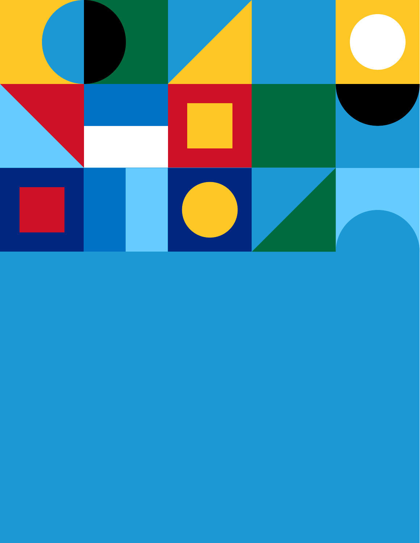